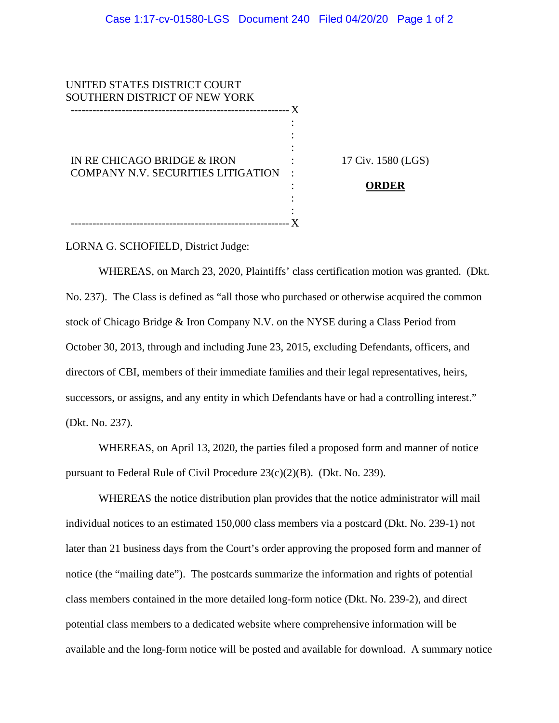| UNITED STATES DISTRICT COURT              |     |                    |
|-------------------------------------------|-----|--------------------|
| SOUTHERN DISTRICT OF NEW YORK             |     |                    |
|                                           | - X |                    |
|                                           |     |                    |
|                                           |     |                    |
|                                           |     |                    |
| IN RE CHICAGO BRIDGE & IRON               |     | 17 Civ. 1580 (LGS) |
| <b>COMPANY N.V. SECURITIES LITIGATION</b> |     |                    |
|                                           |     | ORDER              |
|                                           |     |                    |
|                                           |     |                    |
|                                           |     |                    |

LORNA G. SCHOFIELD, District Judge:

WHEREAS, on March 23, 2020, Plaintiffs' class certification motion was granted. (Dkt. No. 237). The Class is defined as "all those who purchased or otherwise acquired the common stock of Chicago Bridge & Iron Company N.V. on the NYSE during a Class Period from October 30, 2013, through and including June 23, 2015, excluding Defendants, officers, and directors of CBI, members of their immediate families and their legal representatives, heirs, successors, or assigns, and any entity in which Defendants have or had a controlling interest." (Dkt. No. 237).

WHEREAS, on April 13, 2020, the parties filed a proposed form and manner of notice pursuant to Federal Rule of Civil Procedure 23(c)(2)(B). (Dkt. No. 239).

WHEREAS the notice distribution plan provides that the notice administrator will mail individual notices to an estimated 150,000 class members via a postcard (Dkt. No. 239-1) not later than 21 business days from the Court's order approving the proposed form and manner of notice (the "mailing date"). The postcards summarize the information and rights of potential class members contained in the more detailed long-form notice (Dkt. No. 239-2), and direct potential class members to a dedicated website where comprehensive information will be available and the long-form notice will be posted and available for download. A summary notice